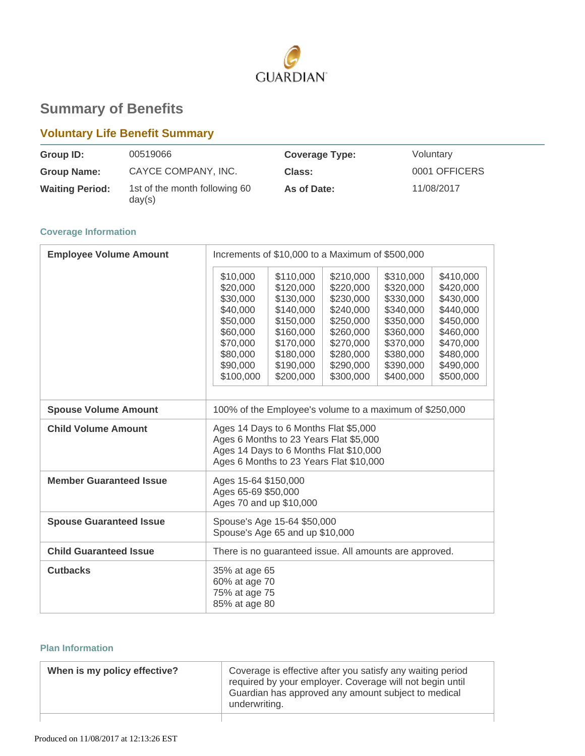

# **Summary of Benefits**

# **Voluntary Life Benefit Summary**

| Group ID:              | 00519066                                | <b>Coverage Type:</b> | Voluntary     |
|------------------------|-----------------------------------------|-----------------------|---------------|
| <b>Group Name:</b>     | CAYCE COMPANY, INC.                     | Class:                | 0001 OFFICERS |
| <b>Waiting Period:</b> | 1st of the month following 60<br>day(s) | As of Date:           | 11/08/2017    |

## **Coverage Information**

| <b>Employee Volume Amount</b>  | Increments of \$10,000 to a Maximum of \$500,000                                                                                                                     |                                                                                                                                |                                                                                                                                |                                                                                                                                |                                                                                                                                |
|--------------------------------|----------------------------------------------------------------------------------------------------------------------------------------------------------------------|--------------------------------------------------------------------------------------------------------------------------------|--------------------------------------------------------------------------------------------------------------------------------|--------------------------------------------------------------------------------------------------------------------------------|--------------------------------------------------------------------------------------------------------------------------------|
|                                | \$10,000<br>\$20,000<br>\$30,000<br>\$40,000<br>\$50,000<br>\$60,000<br>\$70,000<br>\$80,000<br>\$90,000<br>\$100,000                                                | \$110,000<br>\$120,000<br>\$130,000<br>\$140,000<br>\$150,000<br>\$160,000<br>\$170,000<br>\$180,000<br>\$190,000<br>\$200,000 | \$210,000<br>\$220,000<br>\$230,000<br>\$240,000<br>\$250,000<br>\$260,000<br>\$270,000<br>\$280,000<br>\$290,000<br>\$300,000 | \$310,000<br>\$320,000<br>\$330,000<br>\$340,000<br>\$350,000<br>\$360,000<br>\$370,000<br>\$380,000<br>\$390,000<br>\$400,000 | \$410,000<br>\$420,000<br>\$430,000<br>\$440,000<br>\$450,000<br>\$460,000<br>\$470,000<br>\$480,000<br>\$490,000<br>\$500,000 |
| <b>Spouse Volume Amount</b>    | 100% of the Employee's volume to a maximum of \$250,000                                                                                                              |                                                                                                                                |                                                                                                                                |                                                                                                                                |                                                                                                                                |
| <b>Child Volume Amount</b>     | Ages 14 Days to 6 Months Flat \$5,000<br>Ages 6 Months to 23 Years Flat \$5,000<br>Ages 14 Days to 6 Months Flat \$10,000<br>Ages 6 Months to 23 Years Flat \$10,000 |                                                                                                                                |                                                                                                                                |                                                                                                                                |                                                                                                                                |
| <b>Member Guaranteed Issue</b> | Ages 15-64 \$150,000<br>Ages 65-69 \$50,000<br>Ages 70 and up \$10,000                                                                                               |                                                                                                                                |                                                                                                                                |                                                                                                                                |                                                                                                                                |
| <b>Spouse Guaranteed Issue</b> | Spouse's Age 15-64 \$50,000<br>Spouse's Age 65 and up \$10,000                                                                                                       |                                                                                                                                |                                                                                                                                |                                                                                                                                |                                                                                                                                |
| <b>Child Guaranteed Issue</b>  | There is no guaranteed issue. All amounts are approved.                                                                                                              |                                                                                                                                |                                                                                                                                |                                                                                                                                |                                                                                                                                |
| <b>Cutbacks</b>                | 35% at age 65<br>60% at age 70<br>75% at age 75<br>85% at age 80                                                                                                     |                                                                                                                                |                                                                                                                                |                                                                                                                                |                                                                                                                                |

## **Plan Information**

| When is my policy effective? | Coverage is effective after you satisfy any waiting period<br>required by your employer. Coverage will not begin until<br>Guardian has approved any amount subject to medical<br>underwriting. |
|------------------------------|------------------------------------------------------------------------------------------------------------------------------------------------------------------------------------------------|
|                              |                                                                                                                                                                                                |